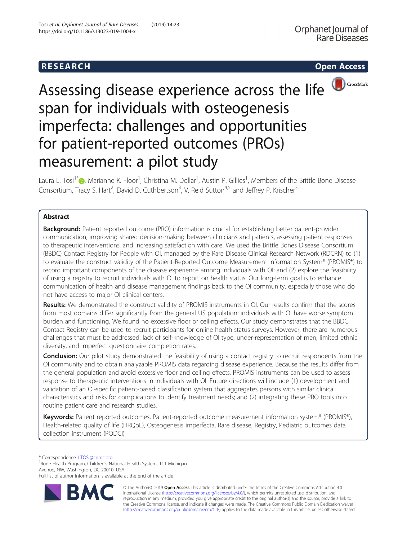# **RESEARCH CHINESEARCH CHINESE AREA**



# Assessing disease experience across the life span for individuals with osteogenesis imperfecta: challenges and opportunities for patient-reported outcomes (PROs) measurement: a pilot study

Laura L. Tosi<sup>1\*</sup>®[,](http://orcid.org/0000-0001-8827-9883) Marianne K. Floor<sup>1</sup>, Christina M. Dollar<sup>1</sup>, Austin P. Gillies<sup>1</sup>, Members of the Brittle Bone Disease Consortium, Tracy S. Hart<sup>2</sup>, David D. Cuthbertson<sup>3</sup>, V. Reid Sutton<sup>4,5</sup> and Jeffrey P. Krischer<sup>3</sup>

# Abstract

**Background:** Patient reported outcome (PRO) information is crucial for establishing better patient-provider communication, improving shared decision-making between clinicians and patients, assessing patient responses to therapeutic interventions, and increasing satisfaction with care. We used the Brittle Bones Disease Consortium (BBDC) Contact Registry for People with OI, managed by the Rare Disease Clinical Research Network (RDCRN) to (1) to evaluate the construct validity of the Patient-Reported Outcome Measurement Information System® (PROMIS®) to record important components of the disease experience among individuals with OI; and (2) explore the feasibility of using a registry to recruit individuals with OI to report on health status. Our long-term goal is to enhance communication of health and disease management findings back to the OI community, especially those who do not have access to major OI clinical centers.

Results: We demonstrated the construct validity of PROMIS instruments in OI. Our results confirm that the scores from most domains differ significantly from the general US population: individuals with OI have worse symptom burden and functioning. We found no excessive floor or ceiling effects. Our study demonstrates that the BBDC Contact Registry can be used to recruit participants for online health status surveys. However, there are numerous challenges that must be addressed: lack of self-knowledge of OI type, under-representation of men, limited ethnic diversity, and imperfect questionnaire completion rates.

**Conclusion:** Our pilot study demonstrated the feasibility of using a contact registry to recruit respondents from the OI community and to obtain analyzable PROMIS data regarding disease experience. Because the results differ from the general population and avoid excessive floor and ceiling effects, PROMIS instruments can be used to assess response to therapeutic interventions in individuals with OI. Future directions will include (1) development and validation of an OI-specific patient-based classification system that aggregates persons with similar clinical characteristics and risks for complications to identify treatment needs; and (2) integrating these PRO tools into routine patient care and research studies.

Keywords: Patient reported outcomes, Patient-reported outcome measurement information system® (PROMIS®), Health-related quality of life (HRQoL), Osteogenesis imperfecta, Rare disease, Registry, Pediatric outcomes data collection instrument (PODCI)

\* Correspondence: [LTOSI@cnmc.org](mailto:LTOSI@cnmc.org) <sup>1</sup>

<sup>1</sup>Bone Health Program, Children's National Health System, 111 Michigan Avenue, NW, Washington, DC 20010, USA

Full list of author information is available at the end of the article



© The Author(s). 2019 Open Access This article is distributed under the terms of the Creative Commons Attribution 4.0 International License [\(http://creativecommons.org/licenses/by/4.0/](http://creativecommons.org/licenses/by/4.0/)), which permits unrestricted use, distribution, and reproduction in any medium, provided you give appropriate credit to the original author(s) and the source, provide a link to the Creative Commons license, and indicate if changes were made. The Creative Commons Public Domain Dedication waiver [\(http://creativecommons.org/publicdomain/zero/1.0/](http://creativecommons.org/publicdomain/zero/1.0/)) applies to the data made available in this article, unless otherwise stated.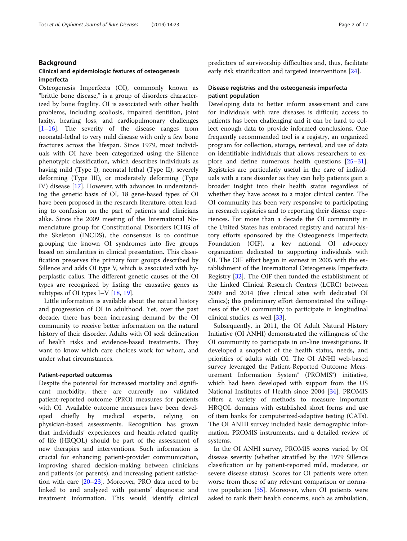# Background

# Clinical and epidemiologic features of osteogenesis imperfecta

Osteogenesis Imperfecta (OI), commonly known as "brittle bone disease," is a group of disorders characterized by bone fragility. OI is associated with other health problems, including scoliosis, impaired dentition, joint laxity, hearing loss, and cardiopulmonary challenges  $[1-16]$  $[1-16]$  $[1-16]$  $[1-16]$ . The severity of the disease ranges from neonatal-lethal to very mild disease with only a few bone fractures across the lifespan. Since 1979, most individuals with OI have been categorized using the Sillence phenotypic classification, which describes individuals as having mild (Type I), neonatal lethal (Type II), severely deforming (Type III), or moderately deforming (Type IV) disease [[17](#page-11-0)]. However, with advances in understanding the genetic basis of OI, 18 gene-based types of OI have been proposed in the research literature, often leading to confusion on the part of patients and clinicians alike. Since the 2009 meeting of the International Nomenclature group for Constitutional Disorders ICHG of the Skeleton (INCDS), the consensus is to continue grouping the known OI syndromes into five groups based on similarities in clinical presentation. This classification preserves the primary four groups described by Sillence and adds OI type V, which is associated with hyperplastic callus. The different genetic causes of the OI types are recognized by listing the causative genes as subtypes of OI types  $I-V$  [[18](#page-11-0), [19](#page-11-0)].

Little information is available about the natural history and progression of OI in adulthood. Yet, over the past decade, there has been increasing demand by the OI community to receive better information on the natural history of their disorder. Adults with OI seek delineation of health risks and evidence-based treatments. They want to know which care choices work for whom, and under what circumstances.

#### Patient-reported outcomes

Despite the potential for increased mortality and significant morbidity, there are currently no validated patient-reported outcome (PRO) measures for patients with OI. Available outcome measures have been developed chiefly by medical experts, relying on physician-based assessments. Recognition has grown that individuals' experiences and health-related quality of life (HRQOL) should be part of the assessment of new therapies and interventions. Such information is crucial for enhancing patient-provider communication, improving shared decision-making between clinicians and patients (or parents), and increasing patient satisfaction with care [\[20](#page-11-0)–[23\]](#page-11-0). Moreover, PRO data need to be linked to and analyzed with patients' diagnostic and treatment information. This would identify clinical predictors of survivorship difficulties and, thus, facilitate early risk stratification and targeted interventions [\[24](#page-11-0)].

# Disease registries and the osteogenesis imperfecta patient population

Developing data to better inform assessment and care for individuals with rare diseases is difficult; access to patients has been challenging and it can be hard to collect enough data to provide informed conclusions. One frequently recommended tool is a registry, an organized program for collection, storage, retrieval, and use of data on identifiable individuals that allows researchers to explore and define numerous health questions [[25](#page-11-0)–[31](#page-11-0)]. Registries are particularly useful in the care of individuals with a rare disorder as they can help patients gain a broader insight into their health status regardless of whether they have access to a major clinical center. The OI community has been very responsive to participating in research registries and to reporting their disease experiences. For more than a decade the OI community in the United States has embraced registry and natural history efforts sponsored by the Osteogenesis Imperfecta Foundation (OIF), a key national OI advocacy organization dedicated to supporting individuals with OI. The OIF effort began in earnest in 2005 with the establishment of the International Osteogenesis Imperfecta Registry [[32\]](#page-11-0). The OIF then funded the establishment of the Linked Clinical Research Centers (LCRC) between 2009 and 2014 (five clinical sites with dedicated OI clinics); this preliminary effort demonstrated the willingness of the OI community to participate in longitudinal clinical studies, as well [[33\]](#page-11-0).

Subsequently, in 2011, the OI Adult Natural History Initiative (OI ANHI) demonstrated the willingness of the OI community to participate in on-line investigations. It developed a snapshot of the health status, needs, and priorities of adults with OI. The OI ANHI web-based survey leveraged the Patient-Reported Outcome Measurement Information System® (PROMIS®) initiative, which had been developed with support from the US National Institutes of Health since 2004 [[34](#page-11-0)]. PROMIS offers a variety of methods to measure important HRQOL domains with established short forms and use of item banks for computerized-adaptive testing (CATs). The OI ANHI survey included basic demographic information, PROMIS instruments, and a detailed review of systems.

In the OI ANHI survey, PROMIS scores varied by OI disease severity (whether stratified by the 1979 Sillence classification or by patient-reported mild, moderate, or severe disease status). Scores for OI patients were often worse from those of any relevant comparison or normative population [\[35](#page-11-0)]. Moreover, when OI patients were asked to rank their health concerns, such as ambulation,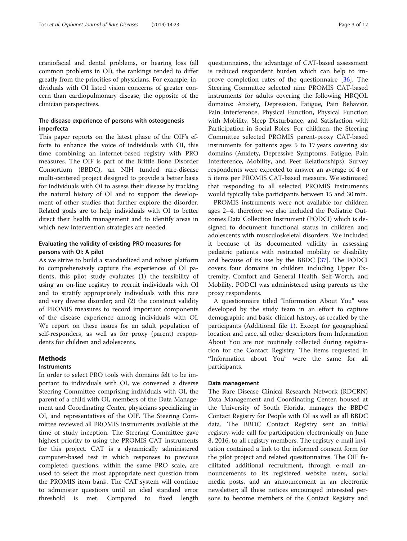craniofacial and dental problems, or hearing loss (all common problems in OI), the rankings tended to differ greatly from the priorities of physicians. For example, individuals with OI listed vision concerns of greater concern than cardiopulmonary disease, the opposite of the clinician perspectives.

# The disease experience of persons with osteogenesis imperfecta

This paper reports on the latest phase of the OIF's efforts to enhance the voice of individuals with OI, this time combining an internet-based registry with PRO measures. The OIF is part of the Brittle Bone Disorder Consortium (BBDC), an NIH funded rare-disease multi-centered project designed to provide a better basis for individuals with OI to assess their disease by tracking the natural history of OI and to support the development of other studies that further explore the disorder. Related goals are to help individuals with OI to better direct their health management and to identify areas in which new intervention strategies are needed.

# Evaluating the validity of existing PRO measures for persons with OI: A pilot

As we strive to build a standardized and robust platform to comprehensively capture the experiences of OI patients, this pilot study evaluates (1) the feasibility of using an on-line registry to recruit individuals with OI and to stratify appropriately individuals with this rare and very diverse disorder; and (2) the construct validity of PROMIS measures to record important components of the disease experience among individuals with OI. We report on these issues for an adult population of self-responders, as well as for proxy (parent) respondents for children and adolescents.

# Methods

# Instruments

In order to select PRO tools with domains felt to be important to individuals with OI, we convened a diverse Steering Committee comprising individuals with OI, the parent of a child with OI, members of the Data Management and Coordinating Center, physicians specializing in OI, and representatives of the OIF. The Steering Committee reviewed all PROMIS instruments available at the time of study inception. The Steering Committee gave highest priority to using the PROMIS CAT instruments for this project. CAT is a dynamically administered computer-based test in which responses to previous completed questions, within the same PRO scale, are used to select the most appropriate next question from the PROMIS item bank. The CAT system will continue to administer questions until an ideal standard error threshold is met. Compared to fixed length

questionnaires, the advantage of CAT-based assessment is reduced respondent burden which can help to improve completion rates of the questionnaire [\[36](#page-11-0)]. The Steering Committee selected nine PROMIS CAT-based instruments for adults covering the following HRQOL domains: Anxiety, Depression, Fatigue, Pain Behavior, Pain Interference, Physical Function, Physical Function with Mobility, Sleep Disturbance, and Satisfaction with Participation in Social Roles. For children, the Steering Committee selected PROMIS parent-proxy CAT-based instruments for patients ages 5 to 17 years covering six domains (Anxiety, Depressive Symptoms, Fatigue, Pain Interference, Mobility, and Peer Relationships). Survey respondents were expected to answer an average of 4 or 5 items per PROMIS CAT-based measure. We estimated that responding to all selected PROMIS instruments would typically take participants between 15 and 30 min.

PROMIS instruments were not available for children ages 2–4, therefore we also included the Pediatric Outcomes Data Collection Instrument (PODCI) which is designed to document functional status in children and adolescents with musculoskeletal disorders. We included it because of its documented validity in assessing pediatric patients with restricted mobility or disability and because of its use by the BBDC [\[37](#page-11-0)]. The PODCI covers four domains in children including Upper Extremity, Comfort and General Health, Self-Worth, and Mobility. PODCI was administered using parents as the proxy respondents.

A questionnaire titled "Information About You" was developed by the study team in an effort to capture demographic and basic clinical history, as recalled by the participants (Additional file [1\)](#page-10-0). Except for geographical location and race, all other descriptors from Information About You are not routinely collected during registration for the Contact Registry. The items requested in "Information about You" were the same for all participants.

#### Data management

The Rare Disease Clinical Research Network (RDCRN) Data Management and Coordinating Center, housed at the University of South Florida, manages the BBDC Contact Registry for People with OI as well as all BBDC data. The BBDC Contact Registry sent an initial registry-wide call for participation electronically on June 8, 2016, to all registry members. The registry e-mail invitation contained a link to the informed consent form for the pilot project and related questionnaires. The OIF facilitated additional recruitment, through e-mail announcements to its registered website users, social media posts, and an announcement in an electronic newsletter; all these notices encouraged interested persons to become members of the Contact Registry and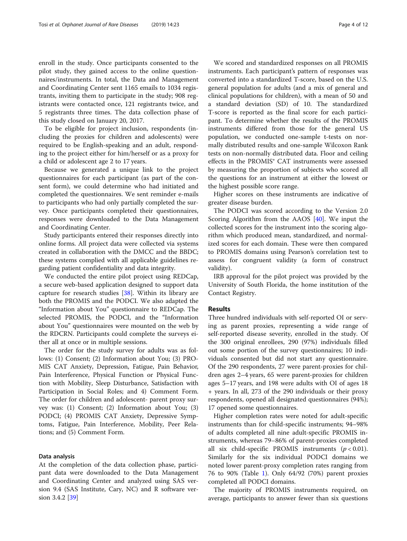enroll in the study. Once participants consented to the pilot study, they gained access to the online questionnaires/instruments. In total, the Data and Management and Coordinating Center sent 1165 emails to 1034 registrants, inviting them to participate in the study; 908 registrants were contacted once, 121 registrants twice, and 5 registrants three times. The data collection phase of this study closed on January 20, 2017.

To be eligible for project inclusion, respondents (including the proxies for children and adolescents) were required to be English-speaking and an adult, responding to the project either for him/herself or as a proxy for a child or adolescent age 2 to 17 years.

Because we generated a unique link to the project questionnaires for each participant (as part of the consent form), we could determine who had initiated and completed the questionnaires. We sent reminder e-mails to participants who had only partially completed the survey. Once participants completed their questionnaires, responses were downloaded to the Data Management and Coordinating Center.

Study participants entered their responses directly into online forms. All project data were collected via systems created in collaboration with the DMCC and the BBDC; these systems complied with all applicable guidelines regarding patient confidentiality and data integrity.

We conducted the entire pilot project using REDCap, a secure web-based application designed to support data capture for research studies [\[38\]](#page-11-0). Within its library are both the PROMIS and the PODCI. We also adapted the "Information about You" questionnaire to REDCap. The selected PROMIS, the PODCI, and the "Information about You" questionnaires were mounted on the web by the RDCRN. Participants could complete the surveys either all at once or in multiple sessions.

The order for the study survey for adults was as follows: (1) Consent; (2) Information about You; (3) PRO-MIS CAT Anxiety, Depression, Fatigue, Pain Behavior, Pain Interference, Physical Function or Physical Function with Mobility, Sleep Disturbance, Satisfaction with Participation in Social Roles; and 4) Comment Form. The order for children and adolescent- parent proxy survey was: (1) Consent; (2) Information about You; (3) PODCI; (4) PROMIS CAT Anxiety, Depressive Symptoms, Fatigue, Pain Interference, Mobility, Peer Relations; and (5) Comment Form.

#### Data analysis

At the completion of the data collection phase, participant data were downloaded to the Data Management and Coordinating Center and analyzed using SAS version 9.4 (SAS Institute, Cary, NC) and R software version 3.4.2 [[39](#page-11-0)]

We scored and standardized responses on all PROMIS instruments. Each participant's pattern of responses was converted into a standardized T-score, based on the U.S. general population for adults (and a mix of general and clinical populations for children), with a mean of 50 and a standard deviation (SD) of 10. The standardized T-score is reported as the final score for each participant. To determine whether the results of the PROMIS instruments differed from those for the general US population, we conducted one-sample t-tests on normally distributed results and one-sample Wilcoxon Rank tests on non-normally distributed data. Floor and ceiling effects in the PROMIS® CAT instruments were assessed by measuring the proportion of subjects who scored all the questions for an instrument at either the lowest or the highest possible score range.

Higher scores on these instruments are indicative of greater disease burden.

The PODCI was scored according to the Version 2.0 Scoring Algorithm from the AAOS [[40\]](#page-11-0). We input the collected scores for the instrument into the scoring algorithm which produced mean, standardized, and normalized scores for each domain. These were then compared to PROMIS domains using Pearson's correlation test to assess for congruent validity (a form of construct validity).

IRB approval for the pilot project was provided by the University of South Florida, the home institution of the Contact Registry.

#### Results

Three hundred individuals with self-reported OI or serving as parent proxies, representing a wide range of self-reported disease severity, enrolled in the study. Of the 300 original enrollees, 290 (97%) individuals filled out some portion of the survey questionnaires; 10 individuals consented but did not start any questionnaire. Of the 290 respondents, 27 were parent-proxies for children ages 2–4 years, 65 were parent-proxies for children ages 5–17 years, and 198 were adults with OI of ages 18 + years. In all, 273 of the 290 individuals or their proxy respondents, opened all designated questionnaires (94%); 17 opened some questionnaires.

Higher completion rates were noted for adult-specific instruments than for child-specific instruments; 94–98% of adults completed all nine adult-specific PROMIS instruments, whereas 79–86% of parent-proxies completed all six child-specific PROMIS instruments  $(p < 0.01)$ . Similarly for the six individual PODCI domains we noted lower parent-proxy completion rates ranging from 76 to 90% (Table [1](#page-4-0)). Only 64/92 (70%) parent proxies completed all PODCI domains.

The majority of PROMIS instruments required, on average, participants to answer fewer than six questions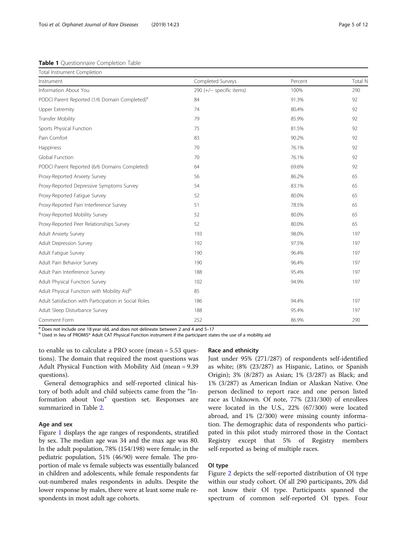<span id="page-4-0"></span>Table 1 Questionnaire Completion Table

| Total Instrument Completion                               |                          |         |         |  |
|-----------------------------------------------------------|--------------------------|---------|---------|--|
| Instrument                                                | Completed Surveys        | Percent | Total N |  |
| Information About You                                     | 290 (+/- specific items) | 100%    | 290     |  |
| PODCI Parent Reported (1/6 Domain Completed) <sup>a</sup> | 84                       | 91.3%   | 92      |  |
| <b>Upper Extremity</b>                                    | 74                       | 80.4%   | 92      |  |
| Transfer Mobility                                         | 79                       | 85.9%   | 92      |  |
| Sports Physical Function                                  | 75                       | 81.5%   | 92      |  |
| Pain Comfort                                              | 83                       | 90.2%   | 92      |  |
| Happiness                                                 | 70                       | 76.1%   | 92      |  |
| Global Function                                           | 70                       | 76.1%   | 92      |  |
| PODCI Parent Reported (6/6 Domains Completed)             | 64                       | 69.6%   | 92      |  |
| Proxy-Reported Anxiety Survey                             | 56                       | 86.2%   | 65      |  |
| Proxy-Reported Depressive Symptoms Survey                 | 54                       | 83.1%   | 65      |  |
| Proxy-Reported Fatigue Survey                             | 52                       | 80.0%   | 65      |  |
| Proxy-Reported Pain Interference Survey                   | 51                       | 78.5%   | 65      |  |
| Proxy-Reported Mobility Survey                            | 52                       | 80.0%   | 65      |  |
| Proxy-Reported Peer Relationships Survey                  | 52                       | 80.0%   | 65      |  |
| Adult Anxiety Survey                                      | 193                      | 98.0%   | 197     |  |
| Adult Depression Survey                                   | 192                      | 97.5%   | 197     |  |
| Adult Fatigue Survey                                      | 190                      | 96.4%   | 197     |  |
| Adult Pain Behavior Survey                                | 190                      | 96.4%   | 197     |  |
| Adult Pain Interference Survey                            | 188                      | 95.4%   | 197     |  |
| Adult Physical Function Survey                            | 102                      | 94.9%   | 197     |  |
| Adult Physical Function with Mobility Aid <sup>b</sup>    | 85                       |         |         |  |
| Adult Satisfaction with Participation in Social Roles     | 186                      | 94.4%   | 197     |  |
| Adult Sleep Disturbance Survey                            | 188                      | 95.4%   | 197     |  |
| Comment Form                                              | 252                      | 86.9%   | 290     |  |

<sup>a</sup> Does not include one 18 year old, and does not delineate between 2 and 4 and 5–17<br><sup>b</sup> Used in lieu of PROMIS® Adult CAT Physical Function instrument if the participant states the use of a mobility aid

to enable us to calculate a PRO score (mean = 5.53 questions). The domain that required the most questions was Adult Physical Function with Mobility Aid (mean = 9.39 questions).

General demographics and self-reported clinical history of both adult and child subjects came from the "Information about You" question set. Responses are summarized in Table [2](#page-5-0).

## Age and sex

Figure [1](#page-5-0) displays the age ranges of respondents, stratified by sex. The median age was 34 and the max age was 80. In the adult population, 78% (154/198) were female; in the pediatric population, 51% (46/90) were female. The proportion of male vs female subjects was essentially balanced in children and adolescents, while female respondents far out-numbered males respondents in adults. Despite the lower response by males, there were at least some male respondents in most adult age cohorts.

### Race and ethnicity

Just under 95% (271/287) of respondents self-identified as white; (8% (23/287) as Hispanic, Latino, or Spanish Origin); 3% (8/287) as Asian; 1% (3/287) as Black; and 1% (3/287) as American Indian or Alaskan Native. One person declined to report race and one person listed race as Unknown. Of note, 77% (231/300) of enrollees were located in the U.S., 22% (67/300) were located abroad, and 1% (2/300) were missing county information. The demographic data of respondents who participated in this pilot study mirrored those in the Contact Registry except that 5% of Registry members self-reported as being of multiple races.

# OI type

Figure [2](#page-6-0) depicts the self-reported distribution of OI type within our study cohort. Of all 290 participants, 20% did not know their OI type. Participants spanned the spectrum of common self-reported OI types. Four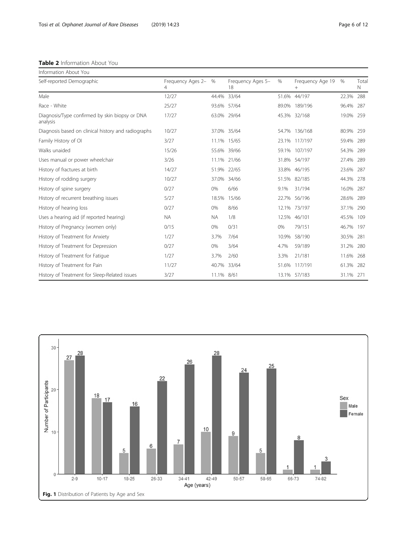# <span id="page-5-0"></span>Table 2 Information About You

| Information About You                                      |                        |            |                         |       |                            |       |            |
|------------------------------------------------------------|------------------------|------------|-------------------------|-------|----------------------------|-------|------------|
| Self-reported Demographic                                  | Frequency Ages 2-<br>4 | $\%$       | Frequency Ages 5-<br>18 | %     | Frequency Age 19<br>$^{+}$ | $\%$  | Total<br>Ν |
| Male                                                       | 12/27                  |            | 44.4% 33/64             |       | 51.6% 44/197               | 22.3% | 288        |
| Race - White                                               | 25/27                  | 93.6%      | 57/64                   | 89.0% | 189/196                    | 96.4% | 287        |
| Diagnosis/Type confirmed by skin biopsy or DNA<br>analysis | 17/27                  |            | 63.0% 29/64             |       | 45.3% 32/168               | 19.0% | 259        |
| Diagnosis based on clinical history and radiographs        | 10/27                  |            | 37.0% 35/64             | 54.7% | 136/168                    | 80.9% | 259        |
| Family History of OI                                       | 3/27                   |            | 11.1% 15/65             |       | 23.1% 117/197              | 59.4% | 289        |
| Walks unaided                                              | 15/26                  |            | 55.6% 39/66             | 59.1% | 107/197                    | 54.3% | 289        |
| Uses manual or power wheelchair                            | 3/26                   |            | 11.1% 21/66             | 31.8% | 54/197                     | 27.4% | 289        |
| History of fractures at birth                              | 14/27                  |            | 51.9% 22/65             |       | 33.8% 46/195               | 23.6% | 287        |
| History of rodding surgery                                 | 10/27                  | 37.0%      | 34/66                   |       | 51.5% 82/185               | 44.3% | 278        |
| History of spine surgery                                   | 0/27                   | 0%         | 6/66                    | 9.1%  | 31/194                     | 16.0% | 287        |
| History of recurrent breathing issues                      | 5/27                   | 18.5%      | 15/66                   |       | 22.7% 56/196               | 28.6% | 289        |
| History of hearing loss                                    | 0/27                   | 0%         | 8/66                    | 12.1% | 73/197                     | 37.1% | 290        |
| Uses a hearing aid (if reported hearing)                   | <b>NA</b>              | <b>NA</b>  | 1/8                     |       | 12.5% 46/101               | 45.5% | 109        |
| History of Pregnancy (women only)                          | 0/15                   | 0%         | 0/31                    | 0%    | 79/151                     | 46.7% | 197        |
| History of Treatment for Anxiety                           | 1/27                   | 3.7%       | 7/64                    |       | 10.9% 58/190               | 30.5% | 281        |
| History of Treatment for Depression                        | 0/27                   | 0%         | 3/64                    | 4.7%  | 59/189                     | 31.2% | 280        |
| History of Treatment for Fatigue                           | 1/27                   | 3.7%       | 2/60                    | 3.3%  | 21/181                     | 11.6% | 268        |
| History of Treatment for Pain                              | 11/27                  |            | 40.7% 33/64             |       | 51.6% 117/191              | 61.3% | 282        |
| History of Treatment for Sleep-Related issues              | 3/27                   | 11.1% 8/61 |                         |       | 13.1% 57/183               | 31.1% | 271        |

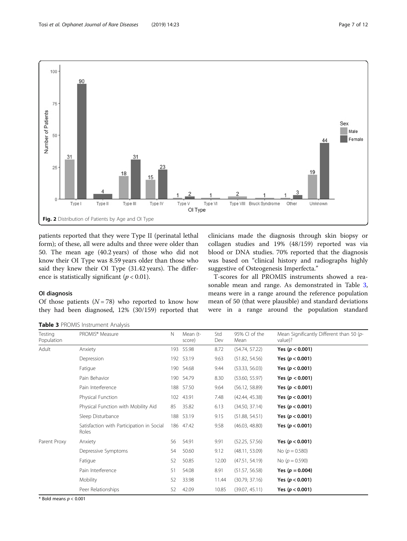<span id="page-6-0"></span>

patients reported that they were Type II (perinatal lethal form); of these, all were adults and three were older than 50. The mean age (40.2 years) of those who did not know their OI Type was 8.59 years older than those who said they knew their OI Type (31.42 years). The difference is statistically significant ( $p < 0.01$ ).

# OI diagnosis

Of those patients  $(N = 78)$  who reported to know how they had been diagnosed, 12% (30/159) reported that clinicians made the diagnosis through skin biopsy or collagen studies and 19% (48/159) reported was via blood or DNA studies. 70% reported that the diagnosis was based on "clinical history and radiographs highly suggestive of Osteogenesis Imperfecta."

T-scores for all PROMIS instruments showed a reasonable mean and range. As demonstrated in Table 3, means were in a range around the reference population mean of 50 (that were plausible) and standard deviations were in a range around the population standard

Table 3 PROMIS Instrument Analysis

| Testing<br>Population | PROMIS <sup>®</sup> Measure                        | N   | Mean (t-<br>score) | Std<br>Dev | 95% CI of the<br>Mean | Mean Significantly Different than 50 (p-<br>value)? |
|-----------------------|----------------------------------------------------|-----|--------------------|------------|-----------------------|-----------------------------------------------------|
| Adult                 | Anxiety                                            |     | 55.98<br>193       | 8.72       | (54.74, 57.22)        | Yes ( $p < 0.001$ )                                 |
|                       | Depression                                         |     | 192 53.19          | 9.63       | (51.82, 54.56)        | Yes ( $p < 0.001$ )                                 |
|                       | Fatigue                                            |     | 190 54.68          | 9.44       | (53.33, 56.03)        | Yes ( $p < 0.001$ )                                 |
|                       | Pain Behavior                                      |     | 190 54.79          | 8.30       | (53.60, 55.97)        | Yes ( $p < 0.001$ )                                 |
|                       | Pain Interference                                  | 188 | 57.50              | 9.64       | (56.12, 58.89)        | Yes ( $p < 0.001$ )                                 |
|                       | Physical Function                                  | 102 | 43.91              | 7.48       | (42.44, 45.38)        | Yes ( $p < 0.001$ )                                 |
|                       | Physical Function with Mobility Aid                | 85  | 35.82              | 6.13       | (34.50, 37.14)        | Yes ( $p < 0.001$ )                                 |
|                       | Sleep Disturbance                                  |     | 188 53.19          | 9.15       | (51.88, 54.51)        | Yes ( $p < 0.001$ )                                 |
|                       | Satisfaction with Participation in Social<br>Roles |     | 186 47.42          | 9.58       | (46.03, 48.80)        | Yes ( $p < 0.001$ )                                 |
| Parent Proxy          | Anxiety                                            | 56  | 54.91              | 9.91       | (52.25, 57.56)        | Yes ( $p < 0.001$ )                                 |
|                       | Depressive Symptoms                                | 54  | 50.60              | 9.12       | (48.11, 53.09)        | No ( $p = 0.580$ )                                  |
|                       | Fatigue                                            | 52  | 50.85              | 12.00      | (47.51, 54.19)        | No ( $p = 0.590$ )                                  |
|                       | Pain Interference                                  | 51  | 54.08              | 8.91       | (51.57, 56.58)        | Yes ( $p = 0.004$ )                                 |
|                       | Mobility                                           | 52  | 33.98              | 11.44      | (30.79, 37.16)        | Yes ( $p < 0.001$ )                                 |
|                       | Peer Relationships                                 | 52  | 42.09              | 10.85      | (39.07, 45.11)        | Yes ( $p < 0.001$ )                                 |

 $*$  Bold means  $p < 0.001$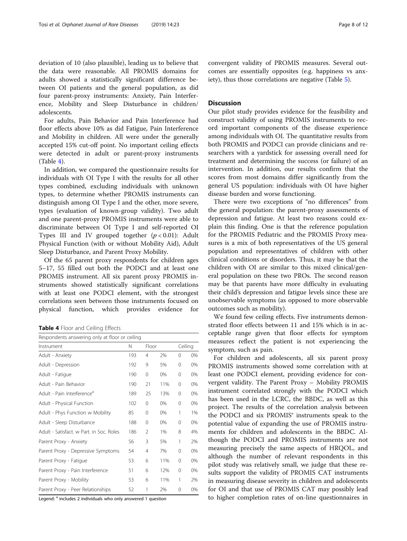deviation of 10 (also plausible), leading us to believe that the data were reasonable. All PROMIS domains for adults showed a statistically significant difference between OI patients and the general population, as did four parent-proxy instruments: Anxiety, Pain Interference, Mobility and Sleep Disturbance in children/ adolescents.

For adults, Pain Behavior and Pain Interference had floor effects above 10% as did Fatigue, Pain Interference and Mobility in children. All were under the generally accepted 15% cut-off point. No important ceiling effects were detected in adult or parent-proxy instruments (Table 4).

In addition, we compared the questionnaire results for individuals with OI Type I with the results for all other types combined, excluding individuals with unknown types, to determine whether PROMIS instruments can distinguish among OI Type I and the other, more severe, types (evaluation of known-group validity). Two adult and one parent-proxy PROMIS instruments were able to discriminate between OI Type I and self-reported OI Types III and IV grouped together  $(p < 0.01)$ : Adult Physical Function (with or without Mobility Aid), Adult Sleep Disturbance, and Parent Proxy Mobility.

Of the 65 parent proxy respondents for children ages 5–17, 55 filled out both the PODCI and at least one PROMIS instrument. All six parent proxy PROMIS instruments showed statistically significant correlations with at least one PODCI element, with the strongest correlations seen between those instruments focused on physical function, which provides evidence for

Table 4 Floor and Ceiling Effects

| Respondents answering only at floor or ceiling |     |                |     |          |    |
|------------------------------------------------|-----|----------------|-----|----------|----|
| Instrument                                     | N   | Floor          |     | Ceiling  |    |
| Adult - Anxiety                                | 193 | $\overline{4}$ | 2%  | $\Omega$ | 0% |
| Adult - Depression                             | 192 | 9              | 5%  | $\Omega$ | 0% |
| Adult - Fatigue                                | 190 | 0              | 0%  | $\Omega$ | 0% |
| Adult - Pain Behavior                          | 190 | 21             | 11% | $\Omega$ | 0% |
| Adult - Pain Interference <sup>a</sup>         | 189 | 25             | 13% | $\Omega$ | 0% |
| Adult - Physical Function                      | 102 | 0              | 0%  | 0        | 0% |
| Adult - Phys Function w Mobility               | 85  | $\Omega$       | 0%  | 1        | 1% |
| Adult - Sleep Disturbance                      | 188 | $\Omega$       | 0%  | $\Omega$ | 0% |
| Adult - Satisfact. w Part. in Soc. Roles       | 186 | 2              | 1%  | 8        | 4% |
| Parent Proxy - Anxiety                         | 56  | 3              | 5%  | 1        | 2% |
| Parent Proxy - Depressive Symptoms             | 54  | $\overline{4}$ | 7%  | $\Omega$ | 0% |
| Parent Proxy - Fatigue                         | 53  | 6              | 11% | $\Omega$ | 0% |
| Parent Proxy - Pain Interference               | 51  | 6              | 12% | $\Omega$ | 0% |
| Parent Proxy - Mobility                        | 53  | 6              | 11% | 1        | 2% |
| Parent Proxy - Peer Relationships              | 52  | 1              | 2%  | 0        | 0% |

Legend: <sup>a</sup> includes 2 individuals who only answered 1 question

convergent validity of PROMIS measures. Several outcomes are essentially opposites (e.g. happiness vs anxiety), thus those correlations are negative (Table [5](#page-8-0)).

# **Discussion**

Our pilot study provides evidence for the feasibility and construct validity of using PROMIS instruments to record important components of the disease experience among individuals with OI. The quantitative results from both PROMIS and PODCI can provide clinicians and researchers with a yardstick for assessing overall need for treatment and determining the success (or failure) of an intervention. In addition, our results confirm that the scores from most domains differ significantly from the general US population: individuals with OI have higher disease burden and worse functioning.

There were two exceptions of "no differences" from the general population: the parent-proxy assessments of depression and fatigue. At least two reasons could explain this finding. One is that the reference population for the PROMIS Pediatric and the PROMIS Proxy measures is a mix of both representatives of the US general population and representatives of children with other clinical conditions or disorders. Thus, it may be that the children with OI are similar to this mixed clinical/general population on these two PROs. The second reason may be that parents have more difficulty in evaluating their child's depression and fatigue levels since these are unobservable symptoms (as opposed to more observable outcomes such as mobility).

We found few ceiling effects. Five instruments demonstrated floor effects between 11 and 15% which is in acceptable range given that floor effects for symptom measures reflect the patient is not experiencing the symptom, such as pain.

For children and adolescents, all six parent proxy PROMIS instruments showed some correlation with at least one PODCI element, providing evidence for convergent validity. The Parent Proxy – Mobility PROMIS instrument correlated strongly with the PODCI which has been used in the LCRC, the BBDC, as well as this project. The results of the correlation analysis between the PODCI and six PROMIS® instruments speak to the potential value of expanding the use of PROMIS instruments for children and adolescents in the BBDC. Although the PODCI and PROMIS instruments are not measuring precisely the same aspects of HRQOL, and although the number of relevant respondents in this pilot study was relatively small, we judge that these results support the validity of PROMIS CAT instruments in measuring disease severity in children and adolescents for OI and that use of PROMIS CAT may possibly lead to higher completion rates of on-line questionnaires in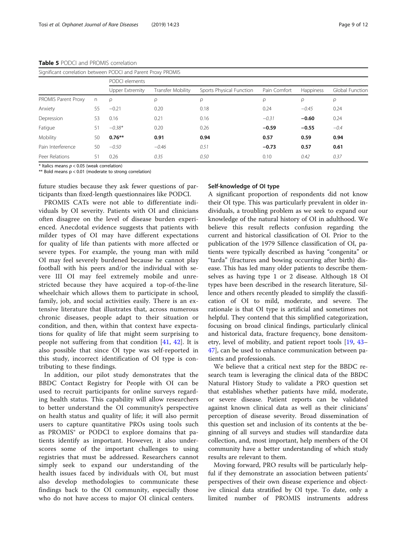| Significant correlation between PODCI and Parent Proxy PROMIS |    |                 |                   |                          |              |                  |                 |  |  |
|---------------------------------------------------------------|----|-----------------|-------------------|--------------------------|--------------|------------------|-----------------|--|--|
|                                                               |    | PODCI elements  |                   |                          |              |                  |                 |  |  |
|                                                               |    | Upper Extremity | Transfer Mobility | Sports Physical Function | Pain Comfort | <b>Happiness</b> | Global Function |  |  |
| PROMIS Parent Proxy                                           | n  | ρ               | ρ                 | ρ                        | ρ            | ρ                | ρ               |  |  |
| Anxiety                                                       | 55 | $-0.21$         | 0.20              | 0.18                     | 0.24         | $-0.45$          | 0.24            |  |  |
| Depression                                                    | 53 | 0.16            | 0.21              | 0.16                     | $-0.31$      | $-0.60$          | 0.24            |  |  |
| Fatigue                                                       | 51 | $-0.38*$        | 0.20              | 0.26                     | $-0.59$      | $-0.55$          | $-0.4$          |  |  |
| <b>Mobility</b>                                               | 50 | $0.76***$       | 0.91              | 0.94                     | 0.57         | 0.59             | 0.94            |  |  |
| Pain Interference                                             | 50 | $-0.50$         | $-0.46$           | 0.51                     | $-0.73$      | 0.57             | 0.61            |  |  |
| Peer Relations                                                | 51 | 0.26            | 0.35              | 0.50                     | 0.10         | 0.42             | 0.37            |  |  |

<span id="page-8-0"></span>Table 5 PODCI and PROMIS correlation

\* Italics means  $p < 0.05$  (weak correlation)

\*\* Bold means p < 0.01 (moderate to strong correlation)

future studies because they ask fewer questions of participants than fixed-length questionnaires like PODCI.

PROMIS CATs were not able to differentiate individuals by OI severity. Patients with OI and clinicians often disagree on the level of disease burden experienced. Anecdotal evidence suggests that patients with milder types of OI may have different expectations for quality of life than patients with more affected or severe types. For example, the young man with mild OI may feel severely burdened because he cannot play football with his peers and/or the individual with severe III OI may feel extremely mobile and unrestricted because they have acquired a top-of-the-line wheelchair which allows them to participate in school, family, job, and social activities easily. There is an extensive literature that illustrates that, across numerous chronic diseases, people adapt to their situation or condition, and then, within that context have expectations for quality of life that might seem surprising to people not suffering from that condition [[41,](#page-11-0) [42](#page-11-0)]. It is also possible that since OI type was self-reported in this study, incorrect identification of OI type is contributing to these findings.

In addition, our pilot study demonstrates that the BBDC Contact Registry for People with OI can be used to recruit participants for online surveys regarding health status. This capability will allow researchers to better understand the OI community's perspective on health status and quality of life; it will also permit users to capture quantitative PROs using tools such as PROMIS® or PODCI to explore domains that patients identify as important. However, it also underscores some of the important challenges to using registries that must be addressed. Researchers cannot simply seek to expand our understanding of the health issues faced by individuals with OI, but must also develop methodologies to communicate these findings back to the OI community, especially those who do not have access to major OI clinical centers.

## Self-knowledge of OI type

A significant proportion of respondents did not know their OI type. This was particularly prevalent in older individuals, a troubling problem as we seek to expand our knowledge of the natural history of OI in adulthood. We believe this result reflects confusion regarding the current and historical classification of OI. Prior to the publication of the 1979 Sillence classification of OI, patients were typically described as having "congenita" or "tarda" (fractures and bowing occurring after birth) disease. This has led many older patients to describe themselves as having type 1 or 2 disease. Although 18 OI types have been described in the research literature, Sillence and others recently pleaded to simplify the classification of OI to mild, moderate, and severe. The rationale is that OI type is artificial and sometimes not helpful. They contend that this simplified categorization, focusing on broad clinical findings, particularly clinical and historical data, fracture frequency, bone densitometry, level of mobility, and patient report tools [\[19,](#page-11-0) [43](#page-11-0)– [47\]](#page-11-0), can be used to enhance communication between patients and professionals.

We believe that a critical next step for the BBDC research team is leveraging the clinical data of the BBDC Natural History Study to validate a PRO question set that establishes whether patients have mild, moderate, or severe disease. Patient reports can be validated against known clinical data as well as their clinicians' perception of disease severity. Broad dissemination of this question set and inclusion of its contents at the beginning of all surveys and studies will standardize data collection, and, most important, help members of the OI community have a better understanding of which study results are relevant to them.

Moving forward, PRO results will be particularly helpful if they demonstrate an association between patients' perspectives of their own disease experience and objective clinical data stratified by OI type. To date, only a limited number of PROMIS instruments address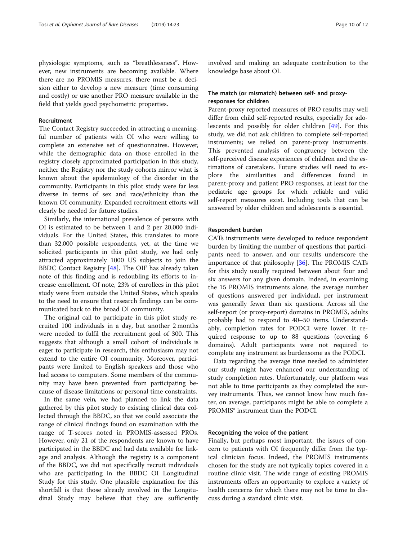## Recruitment

The Contact Registry succeeded in attracting a meaningful number of patients with OI who were willing to complete an extensive set of questionnaires. However, while the demographic data on those enrolled in the registry closely approximated participation in this study, neither the Registry nor the study cohorts mirror what is known about the epidemiology of the disorder in the community. Participants in this pilot study were far less diverse in terms of sex and race/ethnicity than the known OI community. Expanded recruitment efforts will clearly be needed for future studies.

Similarly, the international prevalence of persons with OI is estimated to be between 1 and 2 per 20,000 individuals. For the United States, this translates to more than 32,000 possible respondents, yet, at the time we solicited participants in this pilot study, we had only attracted approximately 1000 US subjects to join the BBDC Contact Registry [[48\]](#page-11-0). The OIF has already taken note of this finding and is redoubling its efforts to increase enrollment. Of note, 23% of enrollees in this pilot study were from outside the United States, which speaks to the need to ensure that research findings can be communicated back to the broad OI community.

The original call to participate in this pilot study recruited 100 individuals in a day, but another 2 months were needed to fulfil the recruitment goal of 300. This suggests that although a small cohort of individuals is eager to participate in research, this enthusiasm may not extend to the entire OI community. Moreover, participants were limited to English speakers and those who had access to computers. Some members of the community may have been prevented from participating because of disease limitations or personal time constraints.

In the same vein, we had planned to link the data gathered by this pilot study to existing clinical data collected through the BBDC, so that we could associate the range of clinical findings found on examination with the range of T-scores noted in PROMIS-assessed PROs. However, only 21 of the respondents are known to have participated in the BBDC and had data available for linkage and analysis. Although the registry is a component of the BBDC, we did not specifically recruit individuals who are participating in the BBDC OI Longitudinal Study for this study. One plausible explanation for this shortfall is that those already involved in the Longitudinal Study may believe that they are sufficiently involved and making an adequate contribution to the knowledge base about OI.

# The match (or mismatch) between self- and proxyresponses for children

Parent-proxy reported measures of PRO results may well differ from child self-reported results, especially for adolescents and possibly for older children [\[49](#page-11-0)]. For this study, we did not ask children to complete self-reported instruments; we relied on parent-proxy instruments. This prevented analysis of congruency between the self-perceived disease experiences of children and the estimations of caretakers. Future studies will need to explore the similarities and differences found in parent-proxy and patient PRO responses, at least for the pediatric age groups for which reliable and valid self-report measures exist. Including tools that can be answered by older children and adolescents is essential.

#### Respondent burden

CATs instruments were developed to reduce respondent burden by limiting the number of questions that participants need to answer, and our results underscore the importance of that philosophy [\[36](#page-11-0)]. The PROMIS CATs for this study usually required between about four and six answers for any given domain. Indeed, in examining the 15 PROMIS instruments alone, the average number of questions answered per individual, per instrument was generally fewer than six questions. Across all the self-report (or proxy-report) domains in PROMIS, adults probably had to respond to 40–50 items. Understandably, completion rates for PODCI were lower. It required response to up to 88 questions (covering 6 domains). Adult participants were not required to complete any instrument as burdensome as the PODCI.

Data regarding the average time needed to administer our study might have enhanced our understanding of study completion rates. Unfortunately, our platform was not able to time participants as they completed the survey instruments. Thus, we cannot know how much faster, on average, participants might be able to complete a PROMIS® instrument than the PODCI.

#### Recognizing the voice of the patient

Finally, but perhaps most important, the issues of concern to patients with OI frequently differ from the typical clinician focus. Indeed, the PROMIS instruments chosen for the study are not typically topics covered in a routine clinic visit. The wide range of existing PROMIS instruments offers an opportunity to explore a variety of health concerns for which there may not be time to discuss during a standard clinic visit.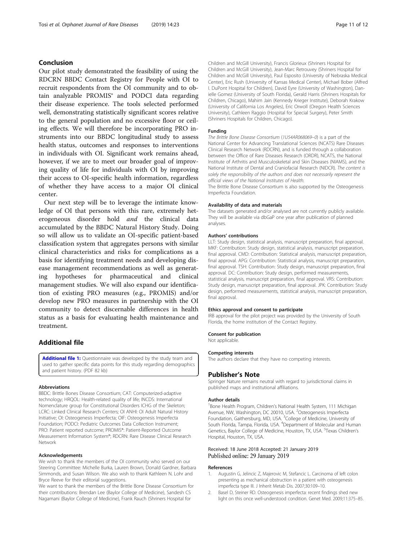# <span id="page-10-0"></span>Conclusion

Our pilot study demonstrated the feasibility of using the RDCRN BBDC Contact Registry for People with OI to recruit respondents from the OI community and to obtain analyzable PROMIS® and PODCI data regarding their disease experience. The tools selected performed well, demonstrating statistically significant scores relative to the general population and no excessive floor or ceiling effects. We will therefore be incorporating PRO instruments into our BBDC longitudinal study to assess health status, outcomes and responses to interventions in individuals with OI. Significant work remains ahead, however, if we are to meet our broader goal of improving quality of life for individuals with OI by improving their access to OI-specific health information, regardless of whether they have access to a major OI clinical center.

Our next step will be to leverage the intimate knowledge of OI that persons with this rare, extremely heterogeneous disorder hold and the clinical data accumulated by the BBDC Natural History Study. Doing so will allow us to validate an OI-specific patient-based classification system that aggregates persons with similar clinical characteristics and risks for complications as a basis for identifying treatment needs and developing disease management recommendations as well as generating hypotheses for pharmaceutical and clinical management studies. We will also expand our identification of existing PRO measures (e.g., PROMIS) and/or develop new PRO measures in partnership with the OI community to detect discernable differences in health status as a basis for evaluating health maintenance and treatment.

# Additional file

[Additional file 1:](https://doi.org/10.1186/s13023-019-1004-x) Questionnaire was developed by the study team and used to gather specific data points for this study regarding demographics and patient history. (PDF 82 kb)

#### Abbreviations

BBDC: Brittle Bones Disease Consortium; CAT: Computerized-adaptive technology; HRQOL: Health-related quality of life; INCDS: International Nomenclature group for Constitutional Disorders ICHG of the Skeleton; LCRC: Linked Clinical Research Centers; OI ANHI: OI Adult Natural History Initiative; OI: Osteogenesis Imperfecta; OIF: Osteogenesis Imperfecta Foundation; PODCI: Pediatric Outcomes Data Collection Instrument; PRO: Patient reported outcome; PROMIS®: Patient-Reported Outcome Measurement Information System®; RDCRN: Rare Disease Clinical Research Network

#### Acknowledgements

We wish to thank the members of the OI community who served on our Steering Committee: Michelle Burka, Lauren Brown, Donald Gardner, Barbara Simmonds, and Susan Wilson. We also wish to thank Kathleen N. Lohr and Bryce Reeve for their editorial suggestions.

We want to thank the members of the Brittle Bone Disease Consortium for their contributions: Brendan Lee (Baylor College of Medicine), Sandesh CS Nagamani (Baylor College of Medicine), Frank Rauch (Shriners Hospital for

Children and McGill University), Francis Glorieux (Shriners Hospital for Children and McGill University), Jean-Marc Retrouvey (Shriners Hospital for Children and McGill University), Paul Esposito (University of Nebraska Medical Center), Eric Rush (University of Kansas Medical Center), Michael Bober (Alfred I. DuPont Hospital for Children), David Eyre (University of Washington), Danielle Gomez (University of South Florida), Gerald Harris (Shriners Hospitals for Children, Chicago), Mahim Jain (Kennedy Krieger Institute), Deborah Krakow (University of California Los Angeles), Eric Orwoll (Oregon Health Sciences University), Cathleen Raggio (Hospital for Special Surgery), Peter Smith (Shriners Hospitals for Children, Chicago).

#### Funding

The Brittle Bone Disease Consortium (1U54AR068069–0) is a part of the National Center for Advancing Translational Sciences (NCATS) Rare Diseases Clinical Research Network (RDCRN), and is funded through a collaboration between the Office of Rare Diseases Research (ORDR), NCATS, the National Institute of Arthritis and Musculoskeletal and Skin Diseases (NIAMS), and the National Institute of Dental and Craniofacial Research (NIDCR). The content is solely the responsibility of the authors and does not necessarily represent the official views of the National Institutes of Health.

The Brittle Bone Disease Consortium is also supported by the Osteogenesis Imperfecta Foundation.

#### Availability of data and materials

The datasets generated and/or analysed are not currently publicly available. They will be available via dbGaP one year after publication of planned analyses.

#### Authors' contributions

LLT: Study design, statistical analysis, manuscript preparation, final approval. MKF: Contribution: Study design, statistical analysis, manuscript preparation, final approval. CMD: Contribution: Statistical analysis, manuscript preparation, final approval. APG: Contribution: Statistical analysis, manuscript preparation, final approval. TSH: Contribution: Study design, manuscript preparation, final approval. DC: Contribution: Study design, performed measurements, statistical analysis, manuscript preparation, final approval. VRS: Contribution: Study design, manuscript preparation, final approval. JPK: Contribution: Study design, performed measurements, statistical analysis, manuscript preparation, final approval.

#### Ethics approval and consent to participate

IRB approval for the pilot project was provided by the University of South Florida, the home institution of the Contact Registry.

#### Consent for publication

Not applicable.

#### Competing interests

The authors declare that they have no competing interests.

#### Publisher's Note

Springer Nature remains neutral with regard to jurisdictional claims in published maps and institutional affiliations.

#### Author details

<sup>1</sup>Bone Health Program, Children's National Health System, 111 Michigan Avenue, NW, Washington, DC 20010, USA. <sup>2</sup>Osteogenesis Imperfecta Foundation, Gaithersburg, MD, USA. <sup>3</sup>College of Medicine, University of South Florida, Tampa, Florida, USA. <sup>4</sup>Department of Molecular and Human Genetics, Baylor College of Medicine, Houston, TX, USA. <sup>5</sup>Texas Children's Hospital, Houston, TX, USA.

#### Received: 18 June 2018 Accepted: 21 January 2019 Published online: 29 January 2019

#### References

- 1. Augustin G, Jelincic Z, Majerovic M, Stefancic L. Carcinoma of left colon presenting as mechanical obstruction in a patient with osteogenesis imperfecta type III. J Inherit Metab Dis. 2007;30:109–10.
- 2. Basel D, Steiner RD. Osteogenesis imperfecta: recent findings shed new light on this once well-understood condition. Genet Med. 2009;11:375–85.